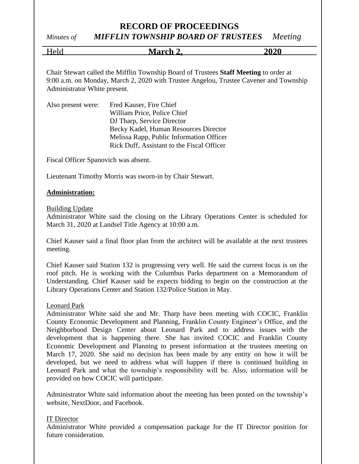*Minutes of MIFFLIN TOWNSHIP BOARD OF TRUSTEES Meeting*

| Held | <b>March 2.</b> | 2020 |
|------|-----------------|------|
|      |                 |      |

Chair Stewart called the Mifflin Township Board of Trustees **Staff Meeting** to order at 9:00 a.m. on Monday, March 2, 2020 with Trustee Angelou, Trustee Cavener and Township Administrator White present.

| Also present were: | Fred Kauser, Fire Chief                    |  |
|--------------------|--------------------------------------------|--|
|                    | William Price, Police Chief                |  |
|                    | DJ Tharp, Service Director                 |  |
|                    | Becky Kadel, Human Resources Director      |  |
|                    | Melissa Rapp, Public Information Officer   |  |
|                    | Rick Duff, Assistant to the Fiscal Officer |  |

Fiscal Officer Spanovich was absent.

Lieutenant Timothy Morris was sworn-in by Chair Stewart.

#### **Administration:**

#### Building Update

Administrator White said the closing on the Library Operations Center is scheduled for March 31, 2020 at Landsel Title Agency at 10:00 a.m.

Chief Kauser said a final floor plan from the architect will be available at the next trustees meeting.

Chief Kauser said Station 132 is progressing very well. He said the current focus is on the roof pitch. He is working with the Columbus Parks department on a Memorandum of Understanding. Chief Kauser said he expects bidding to begin on the construction at the Library Operations Center and Station 132/Police Station in May.

#### Leonard Park

Administrator White said she and Mr. Tharp have been meeting with COCIC, Franklin County Economic Development and Planning, Franklin County Engineer's Office, and the Neighborhood Design Center about Leonard Park and to address issues with the development that is happening there. She has invited COCIC and Franklin County Economic Development and Planning to present information at the trustees meeting on March 17, 2020. She said no decision has been made by any entity on how it will be developed, but we need to address what will happen if there is continued building in Leonard Park and what the township's responsibility will be. Also, information will be provided on how COCIC will participate.

Administrator White said information about the meeting has been posted on the township's website, NextDoor, and Facebook.

#### IT Director

Administrator White provided a compensation package for the IT Director position for future consideration.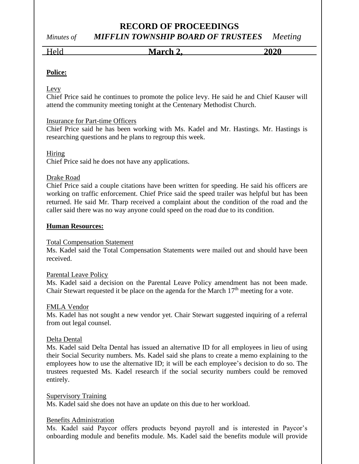# *Minutes of MIFFLIN TOWNSHIP BOARD OF TRUSTEES Meeting*

Held **March 2, 2020**

## **Police:**

#### Levy

Chief Price said he continues to promote the police levy. He said he and Chief Kauser will attend the community meeting tonight at the Centenary Methodist Church.

#### Insurance for Part-time Officers

Chief Price said he has been working with Ms. Kadel and Mr. Hastings. Mr. Hastings is researching questions and he plans to regroup this week.

#### Hiring

Chief Price said he does not have any applications.

#### Drake Road

Chief Price said a couple citations have been written for speeding. He said his officers are working on traffic enforcement. Chief Price said the speed trailer was helpful but has been returned. He said Mr. Tharp received a complaint about the condition of the road and the caller said there was no way anyone could speed on the road due to its condition.

#### **Human Resources:**

#### Total Compensation Statement

Ms. Kadel said the Total Compensation Statements were mailed out and should have been received.

#### Parental Leave Policy

Ms. Kadel said a decision on the Parental Leave Policy amendment has not been made. Chair Stewart requested it be place on the agenda for the March  $17<sup>th</sup>$  meeting for a vote.

#### FMLA Vendor

Ms. Kadel has not sought a new vendor yet. Chair Stewart suggested inquiring of a referral from out legal counsel.

#### Delta Dental

Ms. Kadel said Delta Dental has issued an alternative ID for all employees in lieu of using their Social Security numbers. Ms. Kadel said she plans to create a memo explaining to the employees how to use the alternative ID; it will be each employee's decision to do so. The trustees requested Ms. Kadel research if the social security numbers could be removed entirely.

#### Supervisory Training

Ms. Kadel said she does not have an update on this due to her workload.

#### Benefits Administration

Ms. Kadel said Paycor offers products beyond payroll and is interested in Paycor's onboarding module and benefits module. Ms. Kadel said the benefits module will provide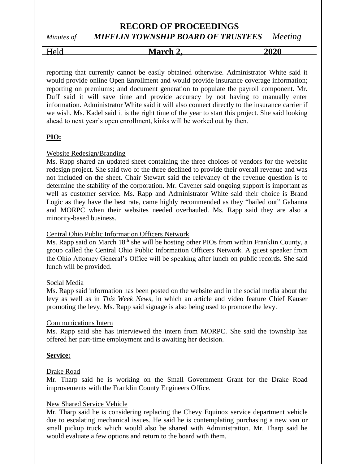# *Minutes of MIFFLIN TOWNSHIP BOARD OF TRUSTEES Meeting*

Held **March 2, 2020**

reporting that currently cannot be easily obtained otherwise. Administrator White said it would provide online Open Enrollment and would provide insurance coverage information; reporting on premiums; and document generation to populate the payroll component. Mr. Duff said it will save time and provide accuracy by not having to manually enter information. Administrator White said it will also connect directly to the insurance carrier if we wish. Ms. Kadel said it is the right time of the year to start this project. She said looking ahead to next year's open enrollment, kinks will be worked out by then.

# **PIO:**

#### Website Redesign/Branding

Ms. Rapp shared an updated sheet containing the three choices of vendors for the website redesign project. She said two of the three declined to provide their overall revenue and was not included on the sheet. Chair Stewart said the relevancy of the revenue question is to determine the stability of the corporation. Mr. Cavener said ongoing support is important as well as customer service. Ms. Rapp and Administrator White said their choice is Brand Logic as they have the best rate, came highly recommended as they "bailed out" Gahanna and MORPC when their websites needed overhauled. Ms. Rapp said they are also a minority-based business.

#### Central Ohio Public Information Officers Network

Ms. Rapp said on March 18<sup>th</sup> she will be hosting other PIOs from within Franklin County, a group called the Central Ohio Public Information Officers Network. A guest speaker from the Ohio Attorney General's Office will be speaking after lunch on public records. She said lunch will be provided.

#### Social Media

Ms. Rapp said information has been posted on the website and in the social media about the levy as well as in *This Week News*, in which an article and video feature Chief Kauser promoting the levy. Ms. Rapp said signage is also being used to promote the levy.

#### Communications Intern

Ms. Rapp said she has interviewed the intern from MORPC. She said the township has offered her part-time employment and is awaiting her decision.

#### **Service:**

#### Drake Road

Mr. Tharp said he is working on the Small Government Grant for the Drake Road improvements with the Franklin County Engineers Office.

#### New Shared Service Vehicle

Mr. Tharp said he is considering replacing the Chevy Equinox service department vehicle due to escalating mechanical issues. He said he is contemplating purchasing a new van or small pickup truck which would also be shared with Administration. Mr. Tharp said he would evaluate a few options and return to the board with them.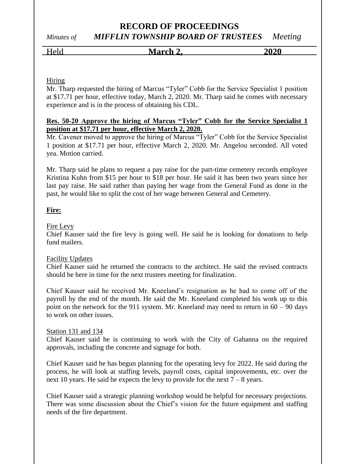# **RECORD OF PROCEEDINGS** *Minutes of MIFFLIN TOWNSHIP BOARD OF TRUSTEES Meeting*

# Held **March 2, 2020**

#### Hiring

Mr. Tharp requested the hiring of Marcus "Tyler" Cobb for the Service Specialist 1 position at \$17.71 per hour, effective today, March 2, 2020. Mr. Tharp said he comes with necessary experience and is in the process of obtaining his CDL.

#### **Res. 50-20 Approve the hiring of Marcus "Tyler" Cobb for the Service Specialist 1 position at \$17.71 per hour, effective March 2, 2020.**

Mr. Cavener moved to approve the hiring of Marcus "Tyler" Cobb for the Service Specialist 1 position at \$17.71 per hour, effective March 2, 2020. Mr. Angelou seconded. All voted yea. Motion carried.

Mr. Tharp said he plans to request a pay raise for the part-time cemetery records employee Kristina Kuhn from \$15 per hour to \$18 per hour. He said it has been two years since her last pay raise. He said rather than paying her wage from the General Fund as done in the past, he would like to split the cost of her wage between General and Cemetery.

#### **Fire:**

#### Fire Levy

Chief Kauser said the fire levy is going well. He said he is looking for donations to help fund mailers.

#### Facility Updates

Chief Kauser said he returned the contracts to the architect. He said the revised contracts should be here in time for the next trustees meeting for finalization.

Chief Kauser said he received Mr. Kneeland's resignation as he had to come off of the payroll by the end of the month. He said the Mr. Kneeland completed his work up to this point on the network for the 911 system. Mr. Kneeland may need to return in  $60 - 90$  days to work on other issues.

#### Station 131 and 134

Chief Kauser said he is continuing to work with the City of Gahanna on the required approvals, including the concrete and signage for both.

Chief Kauser said he has begun planning for the operating levy for 2022. He said during the process, he will look at staffing levels, payroll costs, capital improvements, etc. over the next 10 years. He said he expects the levy to provide for the next  $7 - 8$  years.

Chief Kauser said a strategic planning workshop would be helpful for necessary projections. There was some discussion about the Chief's vision for the future equipment and staffing needs of the fire department.